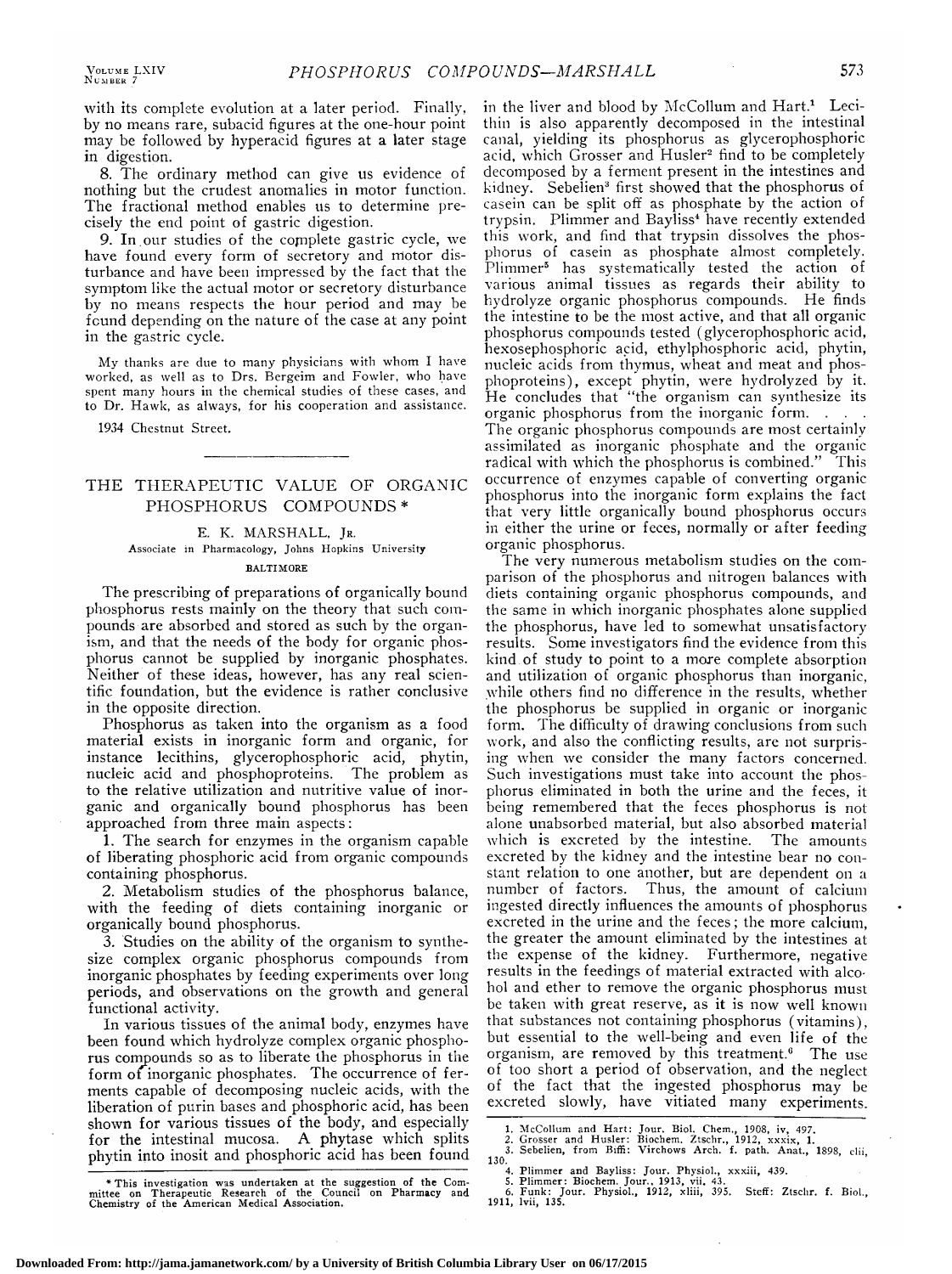with its complete evolution at <sup>a</sup> later period. Finally, by no means rare, subacid figures at the one-hour point may be followed by hyperacid figures at <sup>a</sup> later stage in digestion.

8. The ordinary method can give us evidence of nothing but the crudest anomalies in motor function. The fractional method enables us to determine precisely the end point of gastric digestion.

9. In our studies of the complete gastric cycle, we have found every form of secretory and motor disturbance and have been impressed by the fact that the symptom like the actual motor or secretory disturbance by no means respects the hour period and may be found depending on the nature of the case at any point in the gastric cycle.

My thanks are due to many physicians with whom I have worked, as well as to Drs. Bergeim and Fowler, who have spent many hours in the chemical studies of these cases, and to Dr. Hawk, as always, for his cooperation and assistance.

1934 Chestnut Street.

## THE THERAPEUTIC VALUE OF ORGANIC PHOSPHORUS COMPOUNDS\*

# E. K. MARSHALL, Jr. Associate in Pharmacology, Johns Hopkins University BALTIMORE

The prescribing of preparations of organically bound phosphorus rests mainly on the theory that such compounds are absorbed and stored as such by the organism, and that the needs of the body for organic phosphorus cannot be supplied by inorganic phosphates. Neither of these ideas, however, has any real scientific foundation, but the evidence is rather conclusive in the opposite direction.

Phosphorus as taken into the organism as <sup>a</sup> food material exists in inorganic form and organic, for instance lecithins, glycerophosphoric acid, phytin, nucleic acid and phosphoproteins. The problem as to the relative utilization and nutritive value of inorganic and organically bound phosphorus has been approached from three main aspects:

1. The search for enzymes in the organism capable of liberating phosphoric acid from organic compounds containing phosphorus.

2. Metabolism studies of the phosphorus balance, with the feeding of diets containing inorganic or organically bound phosphorus.

3. Studies on the ability of the organism to synthesize complex organic phosphorus compounds from inorganic phosphates by feeding experiments over long periods, and observations on the growth and general functional activity.

In various tissues of the animal body, enzymes have been found which hydrolyze complex organic phosphorus compounds so as to liberate the phosphorus in the form of inorganic phosphates. The occurrence of ferments capable of decomposing nucleic acids, with the liberation of purin bases and phosphoric acid, has been shown for various tissues of the body, and especially for the intestinal mucosa. A phytase which splits phytin into inosit and phosphoric acid has been found

This investigation was undertaken at the suggestion of the Com-mittee on Therapeutic Research of the Council on Pharmacy and Chemistry of the American Medical Association.

in the liver and blood by McCollum and Hart.<sup>1</sup> Lecithin is also apparently decomposed in the intestinal canal, yielding its phosphorus as glycerophosphoric acid, which Grosser and Husler2 find to be completely decomposed by <sup>a</sup> ferment present in the intestines and kidney. Sebelien<sup>3</sup> first showed that the phosphorus of casein can be split off as phosphate by the action of trypsin. Plimmer and Bayliss<sup>4</sup> have recently extended this work, and find that trypsin dissolves the phosphorus of casein as phosphate almost completely. Plimmer5 has systematically tested the action of various animal tissues as regards their ability to hydrolyze organic phosphorus compounds. He finds the intestine to be the most active, and that all organic phosphorus compounds tested (glycerophosphoric acid, hexosephosphoric acid, ethylphosphoric acid, phytin, nucleic acids from thymus, wheat and meat and phosphoproteins), except phytin, were hydrolyzed by it. He concludes that "the organism can synthesize its organic phosphorus from the inorganic form. The organic phosphorus compounds are most certainly assimilated as inorganic phosphate and the organic radical with which the phosphorus is combined." This occurrence of enzymes capable of converting organic phosphorus into the inorganic form explains the fact that very little organically bound phosphorus occurs in either the urine or feces, normally or after feeding organic phosphorus.

The very numerous metabolism studies on the com parison of the phosphorus and nitrogen balances with diets containing organic phosphorus compounds, and the same in which inorganic phosphates alone supplied the phosphorus, have led to somewhat unsatisfactory results. Some investigators find the evidence from this kind of study to point to <sup>a</sup> more complete absorption and utilization of organic phosphorus than inorganic, while others find no difference in the results, whether the phosphorus be supplied in organic or inorganic form. The difficulty of drawing conclusions from such work, and also the conflicting results, are not surprising when we consider the many factors concerned. Such investigations must take into account the phosphorus eliminated in both the urine and the feces, it being remembered that the feces phosphorus is not alone unabsorbed material, but also absorbed material which is excreted by the intestine. The amounts excreted by the kidney and the intestine bear no constant relation to one another, but are dependent on <sup>a</sup> Thus, the amount of calcium ingested directly influences the amounts of phosphorus excreted in the urine and the feces ; the more calcium, the greater the amount eliminated by the intestines at the expense of the kidney. Furthermore, negative results in the feedings of material extracted with alcohol and ether to remove the organic phosphorus must be taken with great reserve, as it is now well known that substances not containing phosphorus (vitamins), but essential to the well-being and even life of the organism, are removed by this treatment.<sup>6</sup> The use of too short a period of observation, and the neglect of the fact that the ingested phosphorus may be excreted slowly, have vitiated many experiments.

<sup>1.</sup> McCollum and Hart: Jour. Biol. Chem., 1908, iv, 497.<br>2. Grosser and Husler: Biochem. Ztschr., 1912, xxxix, 1.<br>3. Sebelien, from Biffi: Virchows Arch. f. path. Anat., 1898, clii<br>130.

<sup>4.</sup> Plimmer and Bayliss: Jour. Physiol., xxxiii, 439. 5. Plimmer: Biochem. Jour., 1913, vii. 43. 6. Funk: Jour. Physiol., 1912, xliii, 395. Steff: Ztschr. f. Biol., 1911, lvii, 135.